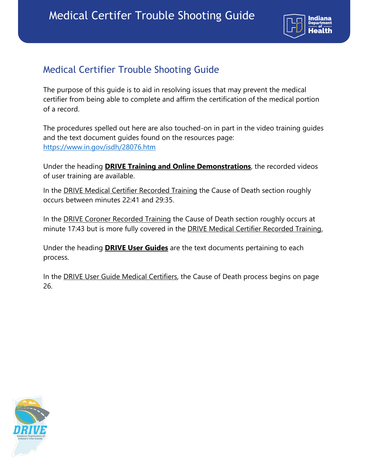

## Medical Certifier Trouble Shooting Guide

The purpose of this guide is to aid in resolving issues that may prevent the medical certifier from being able to complete and affirm the certification of the medical portion of a record.

The procedures spelled out here are also touched-on in part in the video training guides and the text document guides found on the resources page: https://www.in.gov/isdh/28076.htm

Under the heading **DRIVE Training and Online Demonstrations**, the recorded videos of user training are available.

In the **DRIVE Medical Certifier Recorded Training** the Cause of Death section roughly occurs between minutes 22:41 and 29:35.

In the **DRIVE Coroner Recorded Training** the Cause of Death section roughly occurs at minute 17:43 but is more fully covered in the DRIVE Medical Certifier Recorded Training.

Under the heading **DRIVE User Guides** are the text documents pertaining to each process.

In the DRIVE User Guide Medical Certifiers, the Cause of Death process begins on page 26.

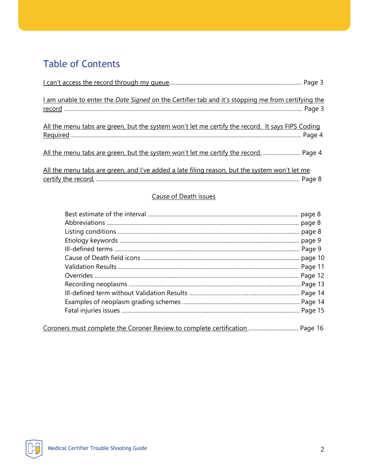# Table of Contents

| I am unable to enter the Date Signed on the Certifier tab and it's stopping me from certifying the |  |
|----------------------------------------------------------------------------------------------------|--|
| All the menu tabs are green, but the system won't let me certify the record. It says FIPS Coding   |  |
| All the menu tabs are green, but the system won't let me certify the record.  Page 4               |  |
| All the menu tabs are green, and I've added a late filing reason, but the system won't let me      |  |

#### Cause of Death issues

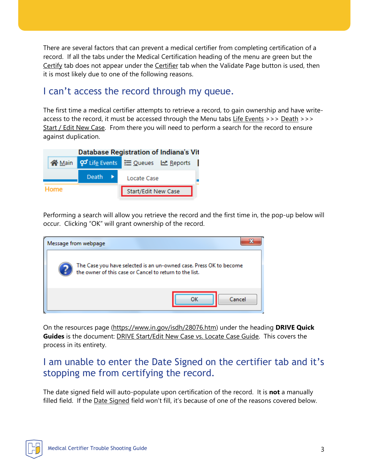There are several factors that can prevent a medical certifier from completing certification of a record. If all the tabs under the Medical Certification heading of the menu are green but the Certify tab does not appear under the Certifier tab when the Validate Page button is used, then it is most likely due to one of the following reasons.

### I can't access the record through my queue.

The first time a medical certifier attempts to retrieve a record, to gain ownership and have writeaccess to the record, it must be accessed through the Menu tabs Life Events >>> Death >>> Start / Edit New Case. From there you will need to perform a search for the record to ensure against duplication.



Performing a search will allow you retrieve the record and the first time in, the pop-up below will occur. Clicking "OK" will grant ownership of the record.

| Message from webpage                                                                                                          |
|-------------------------------------------------------------------------------------------------------------------------------|
| The Case you have selected is an un-owned case. Press OK to become<br>the owner of this case or Cancel to return to the list. |
| Cancel                                                                                                                        |

On the resources page (https://www.in.gov/isdh/28076.htm) under the heading **DRIVE Quick Guides** is the document: DRIVE Start/Edit New Case vs. Locate Case Guide. This covers the process in its entirety.

## I am unable to enter the Date Signed on the certifier tab and it's stopping me from certifying the record.

The date signed field will auto-populate upon certification of the record. It is **not** a manually filled field. If the Date Signed field won't fill, it's because of one of the reasons covered below.

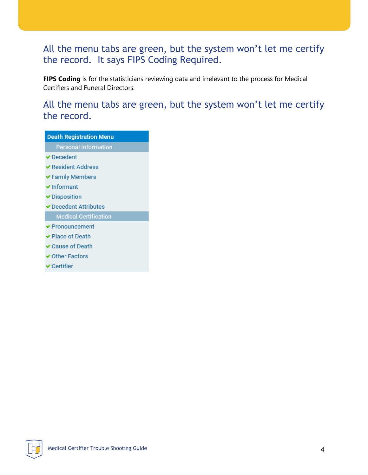## All the menu tabs are green, but the system won't let me certify the record. It says FIPS Coding Required.

**FIPS Coding** is for the statisticians reviewing data and irrelevant to the process for Medical Certifiers and Funeral Directors.

### All the menu tabs are green, but the system won't let me certify the record.

| <b>Death Registration Menu</b>       |
|--------------------------------------|
| <b>Personal Information</b>          |
| ✔ Decedent                           |
| <b>◆ Resident Address</b>            |
| $\blacktriangleright$ Family Members |
| $\blacktriangleright$ Informant      |
| <b>▶</b> Disposition                 |
| ✔ Decedent Attributes                |
| <b>Medical Certification</b>         |
| <b>◆ Pronouncement</b>               |
| ✔ Place of Death                     |
| $\blacktriangleright$ Cause of Death |
| ✔ Other Factors                      |

**V** Certifier

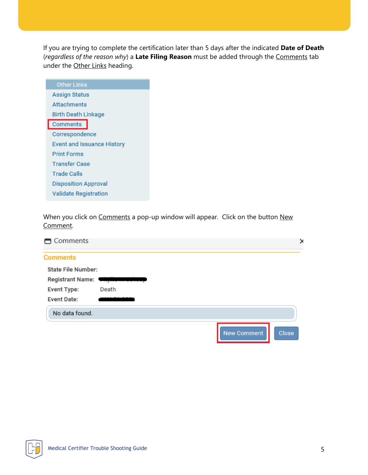If you are trying to complete the certification later than 5 days after the indicated **Date of Death** (*regardless of the reason why*) a **Late Filing Reason** must be added through the Comments tab under the Other Links heading.

| <b>Other Links</b>           |
|------------------------------|
| Assign Status                |
| <b>Attachments</b>           |
| Birth Death Linkage          |
| Comments                     |
| Correspondence               |
| Event and Issuance History   |
| <b>Print Forms</b>           |
| <b>Transfer Case</b>         |
| <b>Trade Calls</b>           |
| <b>Disposition Approval</b>  |
| <b>Validate Registration</b> |
|                              |

When you click on Comments a pop-up window will appear. Click on the button New Comment.

| Comments                  |       |                    | ×     |
|---------------------------|-------|--------------------|-------|
| <b>Comments</b>           |       |                    |       |
| <b>State File Number:</b> |       |                    |       |
| Registrant Name: Waylle   |       |                    |       |
| Event Type:               | Death |                    |       |
| Event Date:               |       |                    |       |
| No data found.            |       |                    |       |
|                           |       | <b>New Comment</b> | Close |

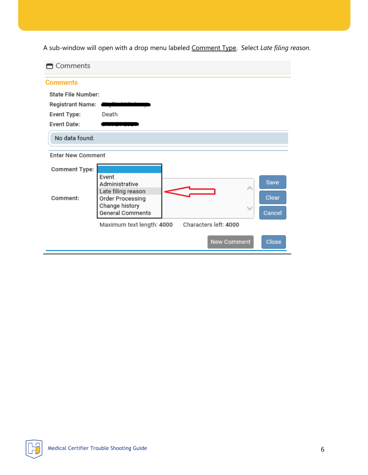A sub-window will open with a drop menu labeled Comment Type. Select *Late filing reason*.

| □ Comments                |                                               |  |                       |        |
|---------------------------|-----------------------------------------------|--|-----------------------|--------|
| <b>Comments</b>           |                                               |  |                       |        |
| <b>State File Number:</b> |                                               |  |                       |        |
| <b>Registrant Name:</b>   |                                               |  |                       |        |
| Event Type:               | Death                                         |  |                       |        |
| Event Date:               |                                               |  |                       |        |
| No data found.            |                                               |  |                       |        |
| <b>Enter New Comment</b>  |                                               |  |                       |        |
| <b>Comment Type:</b>      |                                               |  |                       |        |
|                           | Event<br>Administrative<br>Late filing reason |  | ∧                     | Save   |
| Comment:                  | Order Processing                              |  |                       | Clear  |
|                           | Change history<br>General Comments            |  |                       | Cancel |
|                           | Maximum text length: 4000                     |  | Characters left: 4000 |        |
|                           |                                               |  | New Comment           | Close  |

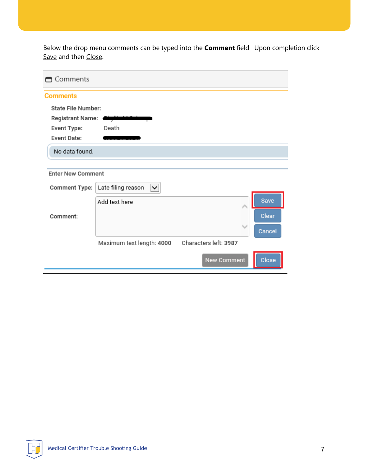Below the drop menu comments can be typed into the **Comment** field. Upon completion click Save and then Close.

| Comments                  |                                                   |                       |        |
|---------------------------|---------------------------------------------------|-----------------------|--------|
| <b>Comments</b>           |                                                   |                       |        |
| <b>State File Number:</b> |                                                   |                       |        |
| Registrant Name:          |                                                   |                       |        |
| Event Type:               | Death                                             |                       |        |
| Event Date:               |                                                   |                       |        |
| No data found.            |                                                   |                       |        |
|                           |                                                   |                       |        |
| <b>Enter New Comment</b>  |                                                   |                       |        |
|                           | Comment Type:   Late filing reason<br>$\check{ }$ |                       |        |
|                           | Add text here                                     |                       | Save   |
| Comment:                  |                                                   |                       | Clear  |
|                           |                                                   |                       | Cancel |
|                           | Maximum text length: 4000                         | Characters left: 3987 |        |
|                           |                                                   | <b>New Comment</b>    | Close  |

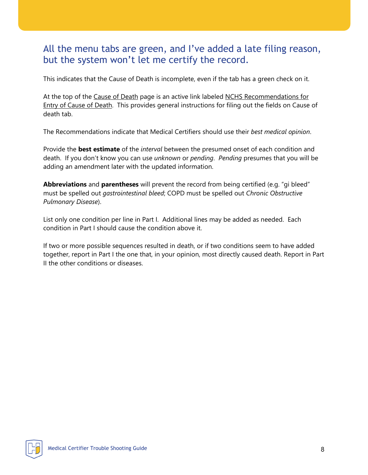### All the menu tabs are green, and I've added a late filing reason, but the system won't let me certify the record.

This indicates that the Cause of Death is incomplete, even if the tab has a green check on it.

At the top of the Cause of Death page is an active link labeled NCHS Recommendations for Entry of Cause of Death. This provides general instructions for filing out the fields on Cause of death tab.

The Recommendations indicate that Medical Certifiers should use their *best medical opinion*.

Provide the **best estimate** of the *interval* between the presumed onset of each condition and death. If you don't know you can use *unknown* or *pending*. *Pending* presumes that you will be adding an amendment later with the updated information.

**Abbreviations** and **parentheses** will prevent the record from being certified (e.g. "gi bleed" must be spelled out *gastrointestinal bleed*; COPD must be spelled out *Chronic Obstructive Pulmonary Disease*).

List only one condition per line in Part I. Additional lines may be added as needed. Each condition in Part I should cause the condition above it.

If two or more possible sequences resulted in death, or if two conditions seem to have added together, report in Part I the one that, in your opinion, most directly caused death. Report in Part II the other conditions or diseases.

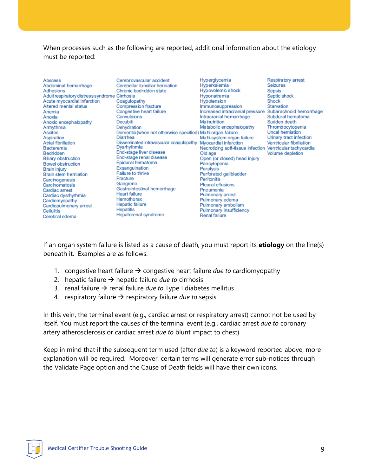When processes such as the following are reported, additional information about the etiology must be reported:

| Abscess<br>Abdominal hemorrhage<br>Adhesions<br>Adult respiratory distress syndrome Cirrhosis<br>Acute myocardial infarction<br>Altered mental status<br>Anemia<br>Anoxia<br>Anoxic encephalopathy<br>Arrhythmia<br><b>Ascites</b><br>Aspiration<br>Atrial fibrillation<br>Bacteremia<br>Bedridden<br><b>Biliary obstruction</b><br><b>Bowel obstruction</b><br>Brain injury<br><b>Brain stem herniation</b><br>Carcinogenesis<br>Carcinomatosis<br>Cardiac arrest<br>Cardiac dysrhythmia<br>Cardiomyopathy<br>Cardiopulmonary arrest<br>Cellulitis<br>Cerebral edema | Cerebrovascular accident<br>Cerebellar tonsillar herniation<br>Chronic bedridden state<br>Coagulopathy<br><b>Compression fracture</b><br>Congestive heart failure<br>Convulsions<br>Decubiti<br>Dehydration<br>Dementia (when not otherwise specified) Multi-organ failure<br>Diarrhea<br>Disseminated intravascular coagulopathy<br>Dysrhythmia<br>End-stage liver disease<br>End-stage renal disease<br>Epidural hematoma<br>Exsanguination<br>Failure to thrive<br>Fracture<br>Gangrene<br>Gastrointestinal hemorrhage<br><b>Heart failure</b><br>Hemothorax<br><b>Hepatic failure</b><br><b>Hepatitis</b><br>Hepatorenal syndrome | Hyperglycemia<br>Hyperkalemia<br>Hypovolemic shock<br>Hyponatremia<br>Hypotension<br>Immunosuppression<br>Increased intracranial pressure<br>Intracranial hemorrhage<br>Malnutrition<br>Metabolic encephalopathy<br>Multi-system organ failure<br>Myocardial infarction<br>Necrotizing soft-tissue infection Ventricular tachycardia<br>Old age<br>Open (or closed) head injury<br>Pancytopenia<br>Paralysis<br>Perforated gallbladder<br><b>Peritonitis</b><br><b>Pleural effusions</b><br>Pneumonia<br>Pulmonary arrest<br>Pulmonary edema<br>Pulmonary embolism<br>Pulmonary insufficiency<br><b>Renal failure</b> | <b>Respiratory arrest</b><br><b>Seizures</b><br><b>Sepsis</b><br>Septic shock<br>Shock<br>Starvation<br>Subarachnoid hemorrhage<br>Subdural hematoma<br>Sudden death<br>Thrombocytopenia<br>Uncal herniation<br>Urinary tract infection<br>Ventricular fibrillation<br>Volume depletion |
|-----------------------------------------------------------------------------------------------------------------------------------------------------------------------------------------------------------------------------------------------------------------------------------------------------------------------------------------------------------------------------------------------------------------------------------------------------------------------------------------------------------------------------------------------------------------------|---------------------------------------------------------------------------------------------------------------------------------------------------------------------------------------------------------------------------------------------------------------------------------------------------------------------------------------------------------------------------------------------------------------------------------------------------------------------------------------------------------------------------------------------------------------------------------------------------------------------------------------|-----------------------------------------------------------------------------------------------------------------------------------------------------------------------------------------------------------------------------------------------------------------------------------------------------------------------------------------------------------------------------------------------------------------------------------------------------------------------------------------------------------------------------------------------------------------------------------------------------------------------|-----------------------------------------------------------------------------------------------------------------------------------------------------------------------------------------------------------------------------------------------------------------------------------------|
|-----------------------------------------------------------------------------------------------------------------------------------------------------------------------------------------------------------------------------------------------------------------------------------------------------------------------------------------------------------------------------------------------------------------------------------------------------------------------------------------------------------------------------------------------------------------------|---------------------------------------------------------------------------------------------------------------------------------------------------------------------------------------------------------------------------------------------------------------------------------------------------------------------------------------------------------------------------------------------------------------------------------------------------------------------------------------------------------------------------------------------------------------------------------------------------------------------------------------|-----------------------------------------------------------------------------------------------------------------------------------------------------------------------------------------------------------------------------------------------------------------------------------------------------------------------------------------------------------------------------------------------------------------------------------------------------------------------------------------------------------------------------------------------------------------------------------------------------------------------|-----------------------------------------------------------------------------------------------------------------------------------------------------------------------------------------------------------------------------------------------------------------------------------------|

If an organ system failure is listed as a cause of death, you must report its **etiology** on the line(s) beneath it. Examples are as follows:

- 1. congestive heart failure  $\rightarrow$  congestive heart failure *due to* cardiomyopathy
- 2. hepatic failure  $\rightarrow$  hepatic failure *due to* cirrhosis
- 3. renal failure  $\rightarrow$  renal failure *due to* Type I diabetes mellitus
- 4. respiratory failure  $\rightarrow$  respiratory failure *due to* sepsis

In this vein, the terminal event (e.g., cardiac arrest or respiratory arrest) cannot not be used by itself. You must report the causes of the terminal event (e.g., cardiac arrest *due to* coronary artery atherosclerosis or cardiac arrest *due to* blunt impact to chest).

Keep in mind that if the subsequent term used (after *due to*) is a keyword reported above, more explanation will be required. Moreover, certain terms will generate error sub-notices through the Validate Page option and the Cause of Death fields will have their own icons.

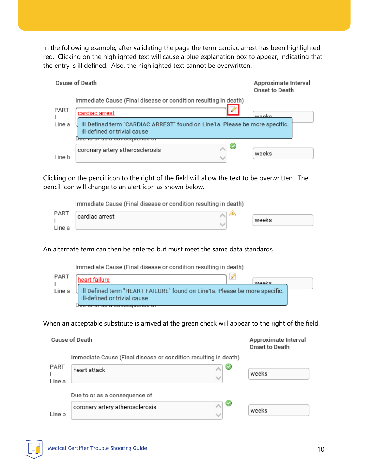In the following example, after validating the page the term cardiac arrest has been highlighted red. Clicking on the highlighted text will cause a blue explanation box to appear, indicating that the entry is ill defined. Also, the highlighted text cannot be overwritten.

|                                                                                                                       | Cause of Death                                                  | Approximate Interval<br>Onset to Death |  |
|-----------------------------------------------------------------------------------------------------------------------|-----------------------------------------------------------------|----------------------------------------|--|
|                                                                                                                       | Immediate Cause (Final disease or condition resulting in death) |                                        |  |
| PART                                                                                                                  | ×<br>cardiac arrest                                             | waake                                  |  |
| Ill Defined term "CARDIAC ARREST" found on Line1a. Please be more specific.<br>Line a<br>Ill-defined or trivial cause |                                                                 |                                        |  |
|                                                                                                                       | ℭ<br>coronary artery atherosclerosis                            |                                        |  |
| Line b                                                                                                                |                                                                 | weeks                                  |  |

Clicking on the pencil icon to the right of the field will allow the text to be overwritten. The pencil icon will change to an alert icon as shown below.

Immediate Cause (Final disease or condition resulting in death)

| PART   | cardiac arrest |  |       |
|--------|----------------|--|-------|
|        |                |  | weeks |
| Line a |                |  |       |

An alternate term can then be entered but must meet the same data standards.

Immediate Cause (Final disease or condition resulting in death)

| PART   | eart failure                                                                                              | waake |
|--------|-----------------------------------------------------------------------------------------------------------|-------|
| Line a | Il Defined term "HEART FAILURE" found on Line1a. Please be more specific.<br>Ill-defined or trivial cause |       |
|        |                                                                                                           |       |

When an acceptable substitute is arrived at the green check will appear to the right of the field.

|        | Cause of Death                                                  | Approximate Interval<br>Onset to Death |
|--------|-----------------------------------------------------------------|----------------------------------------|
|        | Immediate Cause (Final disease or condition resulting in death) |                                        |
| PART   | G<br>heart attack                                               |                                        |
|        |                                                                 | weeks                                  |
| Line a |                                                                 |                                        |
|        | Due to or as a consequence of                                   |                                        |
|        | $\bullet$<br>coronary artery atherosclerosis                    |                                        |
| Line b |                                                                 | weeks                                  |

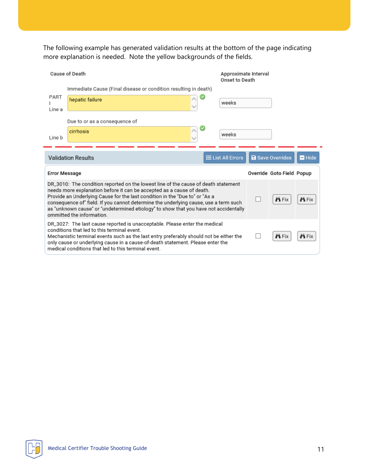The following example has generated validation results at the bottom of the page indicating more explanation is needed. Note the yellow backgrounds of the fields.

|                      | Cause of Death                                                                                                                                                                                                                                                                                                                                                                                                                                          | Approximate Interval<br>Onset to Death |  |                           |               |
|----------------------|---------------------------------------------------------------------------------------------------------------------------------------------------------------------------------------------------------------------------------------------------------------------------------------------------------------------------------------------------------------------------------------------------------------------------------------------------------|----------------------------------------|--|---------------------------|---------------|
|                      | Immediate Cause (Final disease or condition resulting in death)                                                                                                                                                                                                                                                                                                                                                                                         |                                        |  |                           |               |
| PART<br>Line a       | hepatic failure                                                                                                                                                                                                                                                                                                                                                                                                                                         | weeks                                  |  |                           |               |
|                      | Due to or as a consequence of                                                                                                                                                                                                                                                                                                                                                                                                                           |                                        |  |                           |               |
| Line b               | cirrhosis                                                                                                                                                                                                                                                                                                                                                                                                                                               | weeks                                  |  |                           |               |
|                      | <b>Validation Results</b>                                                                                                                                                                                                                                                                                                                                                                                                                               | <b>EList All Errors</b>                |  | <b>a</b> Save Overrides   | Hide          |
| <b>Error Message</b> |                                                                                                                                                                                                                                                                                                                                                                                                                                                         |                                        |  | Override Goto Field Popup |               |
|                      | DR_3010: The condition reported on the lowest line of the cause of death statement<br>needs more explanation before it can be accepted as a cause of death.<br>Provide an Underlying Cause for the last condition in the "Due to" or "As a<br>consequence of" field. If you cannot determine the underlying cause, use a term such<br>as "unknown cause" or "undetermined etiology" to show that you have not accidentally<br>ommitted the information. |                                        |  | <b><i>i</i>n</b> Fix      | <b>Pi</b> Fix |
|                      | DR_3027: The last cause reported is unacceptable. Please enter the medical<br>conditions that led to this terminal event.<br>Mechanistic terminal events such as the last entry preferably should not be either the<br>only cause or underlying cause in a cause-of-death statement. Please enter the<br>medical conditions that led to this terminal event.                                                                                            |                                        |  | <b>in</b> Fix             | <b>in</b> Fix |

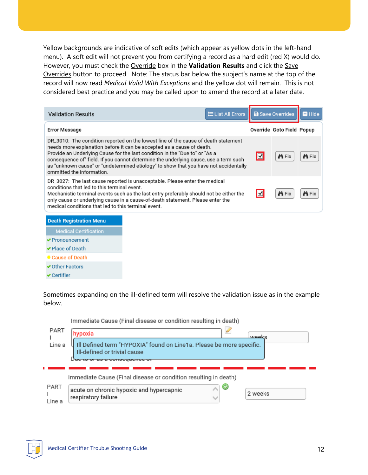Yellow backgrounds are indicative of soft edits (which appear as yellow dots in the left-hand menu). A soft edit will not prevent you from certifying a record as a hard edit (red X) would do. However, you must check the Override box in the **Validation Results** and click the Save Overrides button to proceed. Note: The status bar below the subject's name at the top of the record will now read *Medical Valid With Exceptions* and the yellow dot will remain. This is not considered best practice and you may be called upon to amend the record at a later date.

| $\equiv$ List All Errors<br><b>Validation Results</b>                                                                                                                                                                                                                                                                                                                                                                                                   |                         | <b>a</b> Save Overrides   | Hide          |
|---------------------------------------------------------------------------------------------------------------------------------------------------------------------------------------------------------------------------------------------------------------------------------------------------------------------------------------------------------------------------------------------------------------------------------------------------------|-------------------------|---------------------------|---------------|
| <b>Error Message</b>                                                                                                                                                                                                                                                                                                                                                                                                                                    |                         | Override Goto Field Popup |               |
| DR_3010: The condition reported on the lowest line of the cause of death statement<br>needs more explanation before it can be accepted as a cause of death.<br>Provide an Underlying Cause for the last condition in the "Due to" or "As a<br>consequence of" field. If you cannot determine the underlying cause, use a term such<br>as "unknown cause" or "undetermined etiology" to show that you have not accidentally<br>ommitted the information. | $\boxed{\blacksquare}$  | <b>in</b> Fix             | <b>PLE</b> IX |
| DR_3027: The last cause reported is unacceptable. Please enter the medical<br>conditions that led to this terminal event.<br>Mechanistic terminal events such as the last entry preferably should not be either the<br>only cause or underlying cause in a cause-of-death statement. Please enter the<br>medical conditions that led to this terminal event.                                                                                            | $\overline{\mathbf{v}}$ | <b>in</b> Fix             | <b>PLEIX</b>  |

#### **Death Registration Menu**

- **Medical Certification**
- ✔ Pronouncement
- ✔ Place of Death
- Cause of Death
- ✔ Other Factors
- $\blacktriangleright$  Certifier

Sometimes expanding on the ill-defined term will resolve the validation issue as in the example below.

in d

ta s

 $1.11$ 

 $(1 - 1)$ 

|                | (immediate Cause (Final disease or condition resulting in death)                                     |
|----------------|------------------------------------------------------------------------------------------------------|
| PART           | $\mathscr{D}$<br>hypoxia<br>عتاموس                                                                   |
| Line a         | Ill Defined term "HYPOXIA" found on Line1a. Please be more specific.<br>Ill-defined or trivial cause |
|                | Immediate Cause (Final disease or condition resulting in death)                                      |
| PART<br>Line a | ∧∣©<br>acute on chronic hypoxic and hypercapnic<br>2 weeks<br>respiratory failure                    |

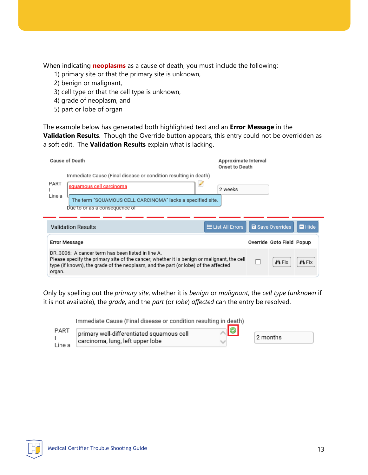When indicating **neoplasms** as a cause of death, you must include the following:

- 1) primary site or that the primary site is unknown,
- 2) benign or malignant,
- 3) cell type or that the cell type is unknown,
- 4) grade of neoplasm, and
- 5) part or lobe of organ

The example below has generated both highlighted text and an **Error Message** in the **Validation Results**. Though the Override button appears, this entry could not be overridden as a soft edit. The **Validation Results** explain what is lacking.

| Cause of Death                                                                                                                                                                                                                                  | Approximate Interval<br>Onset to Death               |
|-------------------------------------------------------------------------------------------------------------------------------------------------------------------------------------------------------------------------------------------------|------------------------------------------------------|
| Immediate Cause (Final disease or condition resulting in death)                                                                                                                                                                                 |                                                      |
| PART<br>squamous cell carcinoma                                                                                                                                                                                                                 | 2 weeks                                              |
| Line a<br>The term "SQUAMOUS CELL CARCINOMA" lacks a specified site.<br>Due to or as a consequence of                                                                                                                                           |                                                      |
|                                                                                                                                                                                                                                                 |                                                      |
| <b>Validation Results</b>                                                                                                                                                                                                                       | <b>a</b> Save Overrides<br>Hide<br>E List All Errors |
| Error Message                                                                                                                                                                                                                                   | Override Goto Field Popup                            |
| DR 3006: A cancer term has been listed in line A.<br>Please specify the primary site of the cancer, whether it is benign or malignant, the cell<br>type (if known), the grade of the neoplasm, and the part (or lobe) of the affected<br>organ. | <b>in</b> Fix<br><b>Pi</b> Fix                       |

Only by spelling out the *primary site*, whether it is *benign* or *malignant*, the *cell type* (*unknown* if it is not available), the *grade*, and the *part* (or *lobe*) *affected* can the entry be resolved.

|        | Immediate Cause (Final disease or condition resulting in death) |           |          |
|--------|-----------------------------------------------------------------|-----------|----------|
| PART   | primary well-differentiated squamous cell                       | $\bullet$ |          |
|        | carcinoma, lung, left upper lobe                                |           | 2 months |
| Line a |                                                                 |           |          |

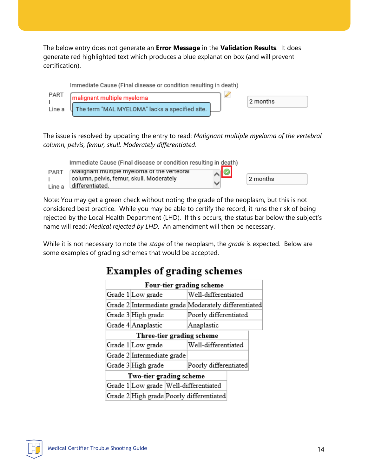The below entry does not generate an **Error Message** in the **Validation Results**. It does generate red highlighted text which produces a blue explanation box (and will prevent certification).



The issue is resolved by updating the entry to read: *Malignant multiple myeloma of the vertebral column, pelvis, femur, skull. Moderately differentiated*.

|                | Immediate Cause (Final disease or condition resulting in death)                                            |                 |  |
|----------------|------------------------------------------------------------------------------------------------------------|-----------------|--|
| PART<br>Line a | Malignant multiple myeloma of the vertebral<br>column, pelvis, femur, skull. Moderately<br>differentiated. | ⊼I©<br>2 months |  |

Note: You may get a green check without noting the grade of the neoplasm, but this is not considered best practice. While you may be able to certify the record, it runs the risk of being rejected by the Local Health Department (LHD). If this occurs, the status bar below the subject's name will read: *Medical rejected by LHD*. An amendment will then be necessary.

While it is not necessary to note the *stage* of the neoplasm, the *grade* is expected. Below are some examples of grading schemes that would be accepted.

## **Examples of grading schemes**

| Four-tier grading scheme                 |                                                      |                       |  |  |  |
|------------------------------------------|------------------------------------------------------|-----------------------|--|--|--|
| Well-differentiated<br>Grade 1 Low grade |                                                      |                       |  |  |  |
|                                          | Grade 2 Intermediate grade Moderately differentiated |                       |  |  |  |
|                                          | Grade 3 High grade                                   | Poorly differentiated |  |  |  |
|                                          | Grade 4 Anaplastic<br>Anaplastic                     |                       |  |  |  |
| Three-tier grading scheme                |                                                      |                       |  |  |  |
|                                          | Grade 1 Low grade                                    | Well-differentiated   |  |  |  |
|                                          | Grade 2 Intermediate grade                           |                       |  |  |  |
|                                          | Grade 3 High grade                                   | Poorly differentiated |  |  |  |
| Two-tier grading scheme                  |                                                      |                       |  |  |  |
|                                          | Grade 1 Low grade Well-differentiated                |                       |  |  |  |
|                                          | Grade 2 High grade Poorly differentiated             |                       |  |  |  |

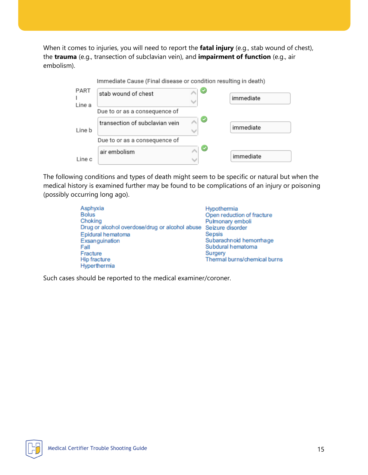When it comes to injuries, you will need to report the **fatal injury** (e.g., stab wound of chest), the **trauma** (e.g., transection of subclavian vein), and **impairment of function** (e.g., air embolism).

|                | Immediate Cause (Final disease or condition resulting in death) |          |           |
|----------------|-----------------------------------------------------------------|----------|-----------|
| PART<br>Line a | stab wound of chest                                             |          | immediate |
|                | Due to or as a consequence of                                   |          |           |
| Line b         | transection of subclavian vein                                  | $\sim$ 0 | immediate |
|                | Due to or as a consequence of                                   |          |           |
| Line c         | air embolism                                                    | Ø        | immediate |

The following conditions and types of death might seem to be specific or natural but when the medical history is examined further may be found to be complications of an injury or poisoning (possibly occurring long ago).

| Asphyxia                                                        | Hypothermia                  |
|-----------------------------------------------------------------|------------------------------|
| <b>Bolus</b>                                                    | Open reduction of fracture   |
| Choking                                                         | Pulmonary emboli             |
| Drug or alcohol overdose/drug or alcohol abuse Seizure disorder |                              |
| Epidural hematoma                                               | <b>Sepsis</b>                |
| Exsanguination                                                  | Subarachnoid hemorrhage      |
| Fall                                                            | Subdural hematoma            |
| Fracture                                                        | Surgery                      |
| <b>Hip fracture</b>                                             | Thermal burns/chemical burns |
| Hyperthermia                                                    |                              |

Such cases should be reported to the medical examiner/coroner.

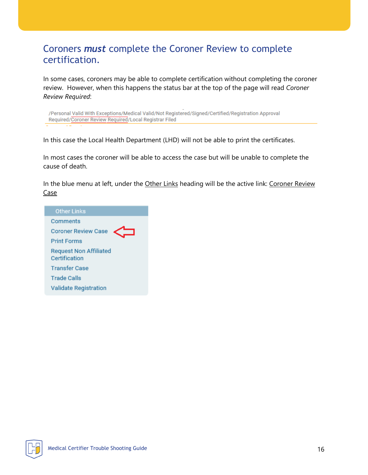### Coroners *must* complete the Coroner Review to complete certification.

In some cases, coroners may be able to complete certification without completing the coroner review. However, when this happens the status bar at the top of the page will read *Coroner Review Required*:

/Personal Valid With Exceptions/Medical Valid/Not Registered/Signed/Certified/Registration Approval Required/Coroner Review Required/Local Registrar Filed

In this case the Local Health Department (LHD) will not be able to print the certificates.

In most cases the coroner will be able to access the case but will be unable to complete the cause of death.

In the blue menu at left, under the Other Links heading will be the active link: Coroner Review Case